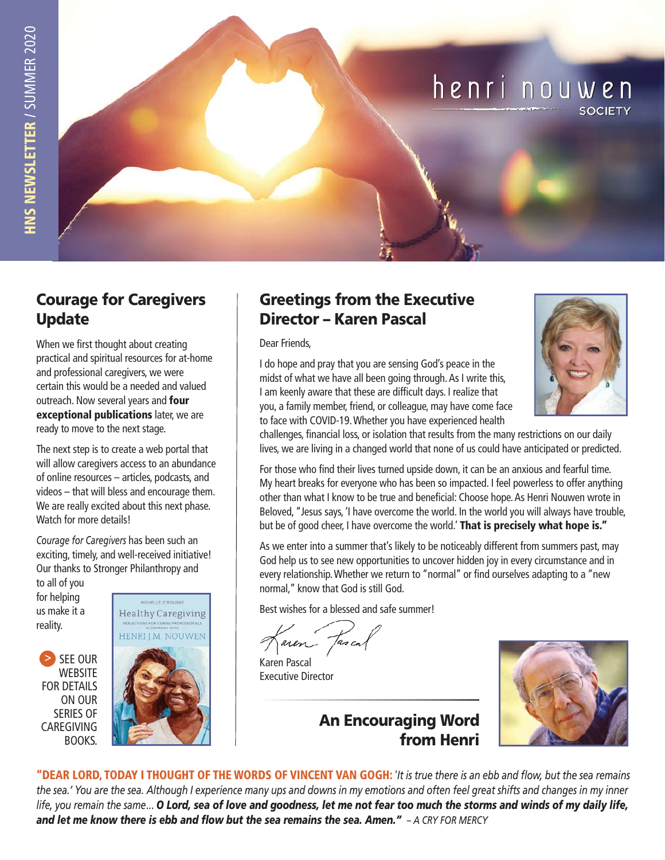# henri nouwen **SOCIETY**

### Courage for Caregivers Update

When we first thought about creating practical and spiritual resources for at-home and professional caregivers, we were certain this would be a needed and valued outreach. Now several years and four exceptional publications later, we are ready to move to the next stage.

The next step is to create a web portal that will allow caregivers access to an abundance of online resources – articles, podcasts, and videos – that will bless and encourage them. We are really excited about this next phase. Watch for more details!

*Courage for Caregivers* has been such an exciting, timely, and well-received initiative! Our thanks to Stronger Philanthropy and

to all of you for helping us make it a reality.

 SEE OUR **> WEBSITE** FOR DETAILS ON OUR SERIES OF CAREGIVING BOOKS.



.<br>MICHELLE O'ROURKE

### Greetings from the Executive Director – Karen Pascal

Dear Friends,

I do hope and pray that you are sensing God's peace in the midst of what we have all been going through. As I write this, I am keenly aware that these are difficult days. I realize that you, a family member, friend, or colleague, may have come face to face with COVID-19. Whether you have experienced health



challenges, financial loss, or isolation that results from the many restrictions on our daily lives, we are living in a changed world that none of us could have anticipated or predicted.

For those who find their lives turned upside down, it can be an anxious and fearful time. My heart breaks for everyone who has been so impacted. I feel powerless to offer anything other than what I know to be true and beneficial: Choose hope. As Henri Nouwen wrote in Beloved, "Jesus says, 'I have overcome the world. In the world you will always have trouble, but be of good cheer, I have overcome the world.' That is precisely what hope is."

As we enter into a summer that's likely to be noticeably different from summers past, may God help us to see new opportunities to uncover hidden joy in every circumstance and in every relationship. Whether we return to "normal" or find ourselves adapting to a "new normal," know that God is still God.

Best wishes for a blessed and safe summer!

aren fascal

Karen Pascal Executive Director

 An Encouraging Word from Henri



"DEAR LORD, TODAY I THOUGHT OF THE WORDS OF VINCENT VAN GOGH: '*It is true there is an ebb and flow, but the sea remains the sea.' You are the sea. Although I experience many ups and downs in my emotions and often feel great shifts and changes in my inner life, you remain the same... O Lord, sea of love and goodness, let me not fear too much the storms and winds of my daily life, and let me know there is ebb and flow but the sea remains the sea. Amen." – A CRY FOR MERCY*